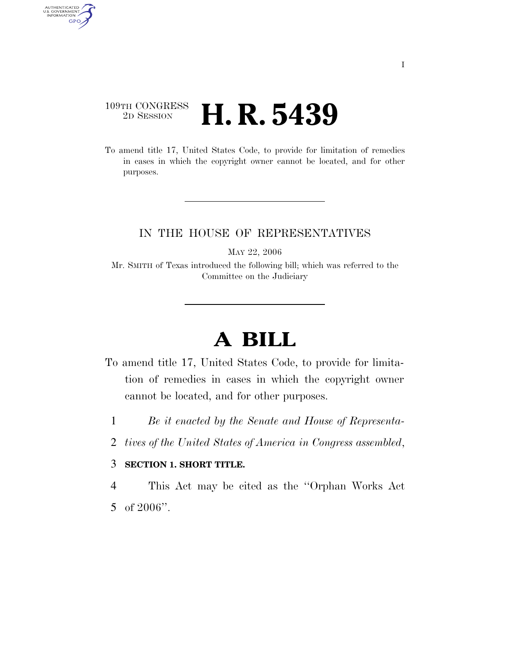### 109TH CONGRESS <sup>2D SESSION</sup> **H. R. 5439**

To amend title 17, United States Code, to provide for limitation of remedies in cases in which the copyright owner cannot be located, and for other purposes.

#### IN THE HOUSE OF REPRESENTATIVES

MAY 22, 2006

Mr. SMITH of Texas introduced the following bill; which was referred to the Committee on the Judiciary

# **A BILL**

- To amend title 17, United States Code, to provide for limitation of remedies in cases in which the copyright owner cannot be located, and for other purposes.
	- 1 *Be it enacted by the Senate and House of Representa-*
	- 2 *tives of the United States of America in Congress assembled*,

#### 3 **SECTION 1. SHORT TITLE.**

4 This Act may be cited as the ''Orphan Works Act

5 of 2006''.

AUTHENTICATED<br>U.S. GOVERNMENT<br>INFORMATION

GPO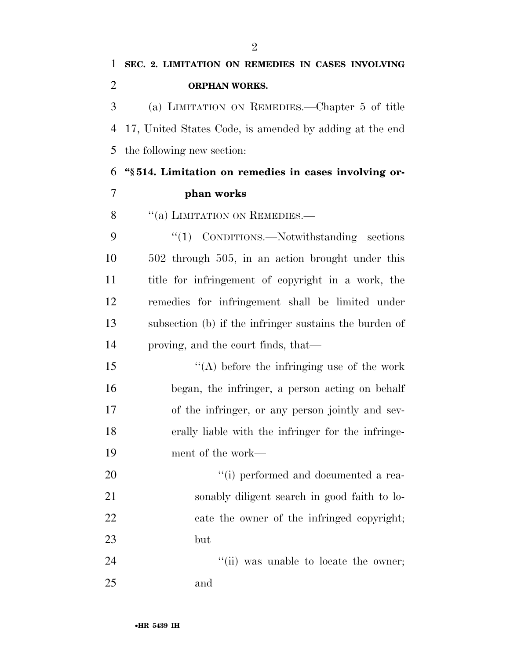## **SEC. 2. LIMITATION ON REMEDIES IN CASES INVOLVING ORPHAN WORKS.**

 (a) LIMITATION ON REMEDIES.—Chapter 5 of title 17, United States Code, is amended by adding at the end the following new section:

**''§ 514. Limitation on remedies in cases involving or-**

- **phan works**
- 8 "(a) LIMITATION ON REMEDIES.—

9 "(1) CONDITIONS.—Notwithstanding sections 502 through 505, in an action brought under this title for infringement of copyright in a work, the remedies for infringement shall be limited under subsection (b) if the infringer sustains the burden of proving, and the court finds, that—

 ''(A) before the infringing use of the work began, the infringer, a person acting on behalf of the infringer, or any person jointly and sev- erally liable with the infringer for the infringe-ment of the work—

 $\frac{1}{1}$  performed and documented a rea- sonably diligent search in good faith to lo- cate the owner of the infringed copyright; but

24  $\frac{1}{1}$  as unable to locate the owner; and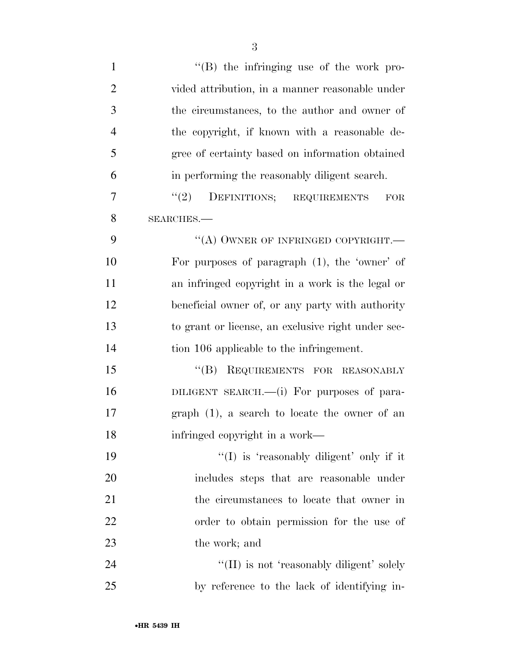| $\mathbf{1}$   | $\lq\lq (B)$ the infringing use of the work pro-   |
|----------------|----------------------------------------------------|
| $\overline{2}$ | vided attribution, in a manner reasonable under    |
| 3              | the circumstances, to the author and owner of      |
| $\overline{4}$ | the copyright, if known with a reasonable de-      |
| 5              | gree of certainty based on information obtained    |
| 6              | in performing the reasonably diligent search.      |
| 7              | (2)<br>DEFINITIONS; REQUIREMENTS<br><b>FOR</b>     |
| 8              | SEARCHES.                                          |
| 9              | "(A) OWNER OF INFRINGED COPYRIGHT.—                |
| 10             | For purposes of paragraph $(1)$ , the 'owner' of   |
| 11             | an infringed copyright in a work is the legal or   |
| 12             | beneficial owner of, or any party with authority   |
| 13             | to grant or license, an exclusive right under sec- |
| 14             | tion 106 applicable to the infringement.           |
| 15             | REQUIREMENTS FOR REASONABLY<br>``(B)               |
| 16             | DILIGENT SEARCH.— $(i)$ For purposes of para-      |
| 17             | graph $(1)$ , a search to locate the owner of an   |
| 18             | infringed copyright in a work—                     |
| 19             | $\lq(1)$ is 'reasonably diligent' only if it       |
| 20             | includes steps that are reasonable under           |
| 21             | the circumstances to locate that owner in          |
| 22             | order to obtain permission for the use of          |
| 23             | the work; and                                      |
| 24             | "(II) is not 'reasonably diligent' solely          |
| 25             | by reference to the lack of identifying in-        |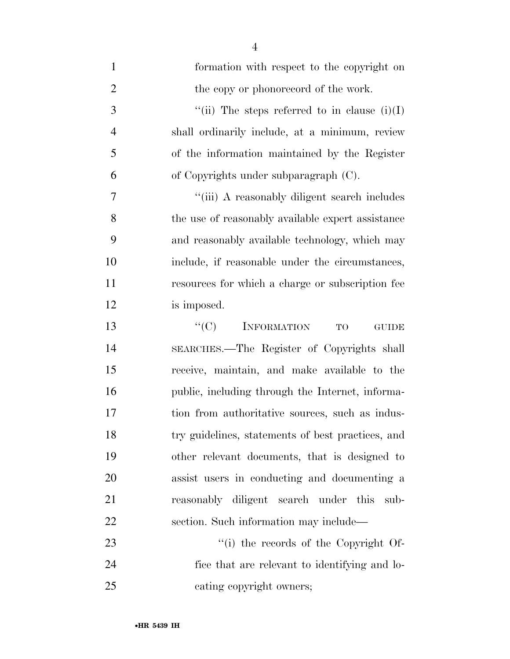| $\mathbf{1}$   | formation with respect to the copyright on                         |
|----------------|--------------------------------------------------------------------|
| $\overline{2}$ | the copy or phonorecord of the work.                               |
| 3              | "(ii) The steps referred to in clause $(i)(I)$                     |
| $\overline{4}$ | shall ordinarily include, at a minimum, review                     |
| 5              | of the information maintained by the Register                      |
| 6              | of Copyrights under subparagraph (C).                              |
| 7              | "(iii) A reasonably diligent search includes                       |
| 8              | the use of reasonably available expert assistance                  |
| 9              | and reasonably available technology, which may                     |
| 10             | include, if reasonable under the circumstances,                    |
| 11             | resources for which a charge or subscription fee                   |
| 12             | is imposed.                                                        |
| 13             | ``(C)<br><b>INFORMATION</b><br><b>TO</b><br>$\operatorname{GUIDE}$ |
| 14             | SEARCHES.—The Register of Copyrights shall                         |
| 15             | receive, maintain, and make available to the                       |
| 16             | public, including through the Internet, informa-                   |
| 17             | tion from authoritative sources, such as indus-                    |
| 18             | try guidelines, statements of best practices, and                  |
| 19             | other relevant documents, that is designed to                      |
| 20             | assist users in conducting and documenting a                       |
| 21             | reasonably diligent search under this<br>sub-                      |
| 22             | section. Such information may include—                             |
| 23             | "(i) the records of the Copyright Of-                              |
| 24             | fice that are relevant to identifying and lo-                      |
| 25             | cating copyright owners;                                           |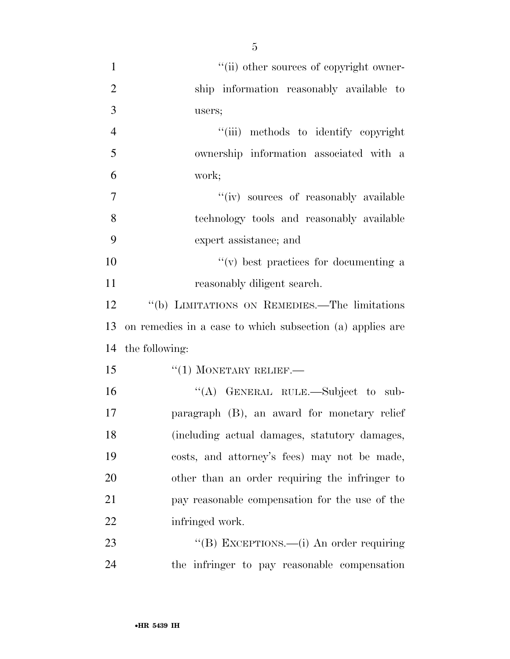$"$ (ii) other sources of copyright owner- ship information reasonably available to users; ''(iii) methods to identify copyright ownership information associated with a work;  $''(iv)$  sources of reasonably available technology tools and reasonably available expert assistance; and ''(v) best practices for documenting a 11 reasonably diligent search. ''(b) LIMITATIONS ON REMEDIES.—The limitations on remedies in a case to which subsection (a) applies are the following: 15 "(1) MONETARY RELIEF.— ''(A) GENERAL RULE.—Subject to sub- paragraph (B), an award for monetary relief (including actual damages, statutory damages, costs, and attorney's fees) may not be made, other than an order requiring the infringer to pay reasonable compensation for the use of the infringed work.

23 "(B) EXCEPTIONS.—(i) An order requiring the infringer to pay reasonable compensation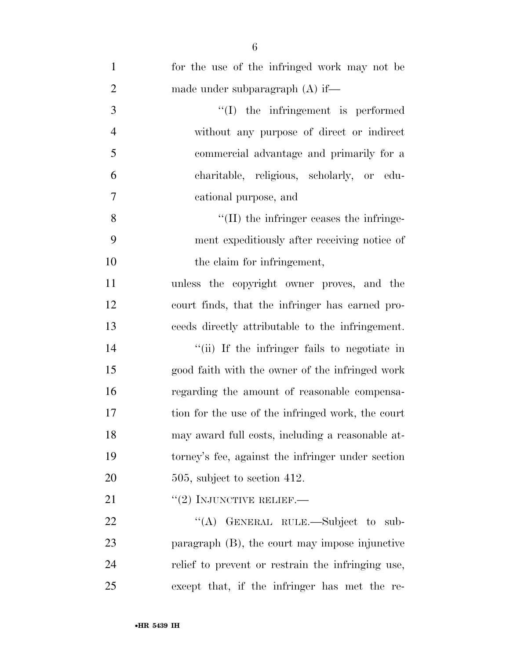| $\mathbf{1}$   | for the use of the infringed work may not be      |
|----------------|---------------------------------------------------|
| $\overline{2}$ | made under subparagraph (A) if—                   |
| 3              | $\lq\lq$ (I) the infringement is performed        |
| $\overline{4}$ | without any purpose of direct or indirect         |
| 5              | commercial advantage and primarily for a          |
| 6              | charitable, religious, scholarly, or edu-         |
| $\tau$         | cational purpose, and                             |
| 8              | $\lq$ (II) the infringer ceases the infringe-     |
| 9              | ment expeditiously after receiving notice of      |
| 10             | the claim for infringement,                       |
| 11             | unless the copyright owner proves, and the        |
| 12             | court finds, that the infringer has earned pro-   |
| 13             | ceeds directly attributable to the infringement.  |
| 14             | "(ii) If the infringer fails to negotiate in      |
| 15             | good faith with the owner of the infringed work   |
| 16             | regarding the amount of reasonable compensa-      |
| 17             | tion for the use of the infringed work, the court |
| 18             | may award full costs, including a reasonable at-  |
| 19             | torney's fee, against the infringer under section |
| 20             | $505$ , subject to section $412$ .                |
| 21             | $``(2)$ INJUNCTIVE RELIEF.—                       |
| 22             | GENERAL RULE.—Subject to sub-<br>(4)              |
| 23             | paragraph $(B)$ , the court may impose injunctive |
| 24             | relief to prevent or restrain the infringing use, |
| 25             | except that, if the infringer has met the re-     |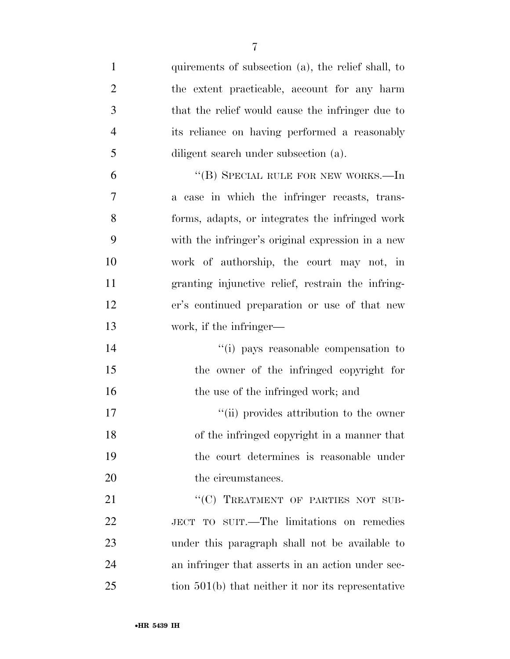| $\mathbf{1}$   | quirements of subsection (a), the relief shall, to   |
|----------------|------------------------------------------------------|
| $\overline{2}$ | the extent practicable, account for any harm         |
| 3              | that the relief would cause the infringer due to     |
| $\overline{4}$ | its reliance on having performed a reasonably        |
| 5              | diligent search under subsection (a).                |
| 6              | "(B) SPECIAL RULE FOR NEW WORKS.—In                  |
| 7              | a case in which the infringer recasts, trans-        |
| 8              | forms, adapts, or integrates the infringed work      |
| 9              | with the infringer's original expression in a new    |
| 10             | work of authorship, the court may not, in            |
| 11             | granting injunctive relief, restrain the infring-    |
| 12             | er's continued preparation or use of that new        |
| 13             | work, if the infringer—                              |
| 14             | "(i) pays reasonable compensation to                 |
| 15             | the owner of the infringed copyright for             |
| 16             | the use of the infringed work; and                   |
| 17             | "(ii) provides attribution to the owner              |
| 18             | of the infringed copyright in a manner that          |
| 19             | the court determines is reasonable under             |
| $20\,$         | the circumstances.                                   |
| 21             | "(C) TREATMENT OF PARTIES NOT SUB-                   |
| 22             | JECT TO SUIT.—The limitations on remedies            |
| 23             | under this paragraph shall not be available to       |
| 24             | an infringer that asserts in an action under sec-    |
| 25             | tion $501(b)$ that neither it nor its representative |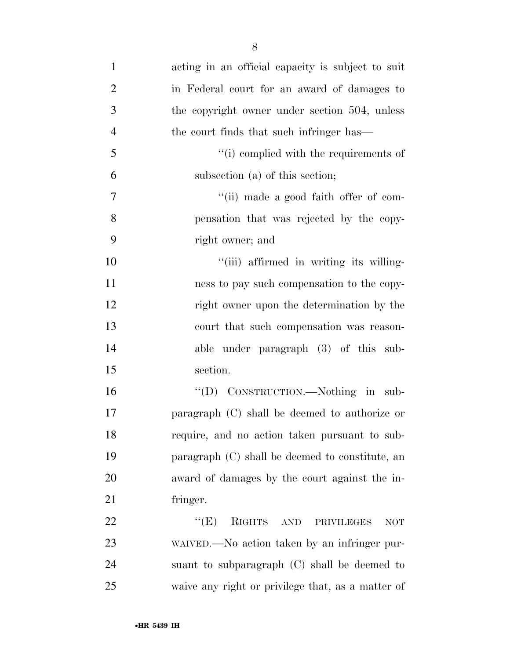| $\mathbf{1}$   | acting in an official capacity is subject to suit         |
|----------------|-----------------------------------------------------------|
| $\overline{2}$ | in Federal court for an award of damages to               |
| 3              | the copyright owner under section 504, unless             |
| $\overline{4}$ | the court finds that such infringer has—                  |
| 5              | "(i) complied with the requirements of                    |
| 6              | subsection (a) of this section;                           |
| 7              | "(ii) made a good faith offer of com-                     |
| 8              | pensation that was rejected by the copy-                  |
| 9              | right owner; and                                          |
| 10             | "(iii) affirmed in writing its willing-                   |
| 11             | ness to pay such compensation to the copy-                |
| 12             | right owner upon the determination by the                 |
| 13             | court that such compensation was reason-                  |
| 14             | able under paragraph $(3)$ of this sub-                   |
| 15             | section.                                                  |
| 16             | "(D) CONSTRUCTION.—Nothing in sub-                        |
| 17             | paragraph (C) shall be deemed to authorize or             |
| 18             | require, and no action taken pursuant to sub-             |
| 19             | paragraph $(C)$ shall be deemed to constitute, an         |
| 20             | award of damages by the court against the in-             |
| 21             | fringer.                                                  |
| 22             | ``(E)<br>RIGHTS<br>AND<br><b>PRIVILEGES</b><br><b>NOT</b> |
| 23             | WAIVED.—No action taken by an infringer pur-              |
| 24             | suant to subparagraph $(C)$ shall be deemed to            |
| 25             | waive any right or privilege that, as a matter of         |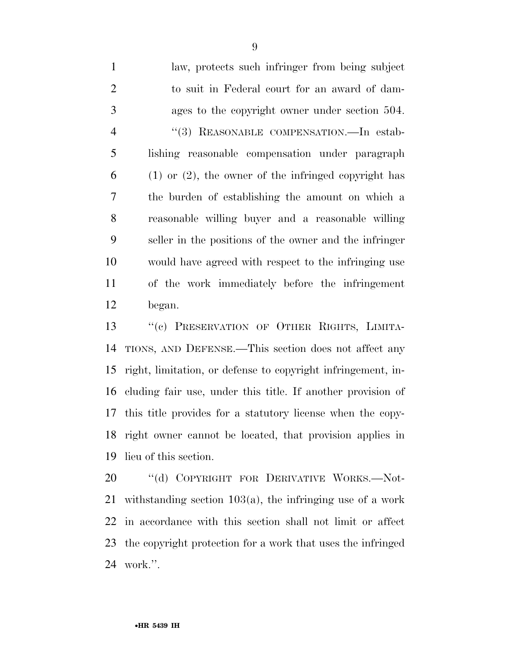law, protects such infringer from being subject to suit in Federal court for an award of dam- ages to the copyright owner under section 504. 4 "(3) REASONABLE COMPENSATION.—In estab- lishing reasonable compensation under paragraph (1) or (2), the owner of the infringed copyright has the burden of establishing the amount on which a reasonable willing buyer and a reasonable willing seller in the positions of the owner and the infringer would have agreed with respect to the infringing use of the work immediately before the infringement began.

 ''(c) PRESERVATION OF OTHER RIGHTS, LIMITA- TIONS, AND DEFENSE.—This section does not affect any right, limitation, or defense to copyright infringement, in- cluding fair use, under this title. If another provision of this title provides for a statutory license when the copy- right owner cannot be located, that provision applies in lieu of this section.

20 "(d) COPYRIGHT FOR DERIVATIVE WORKS.-Not- withstanding section 103(a), the infringing use of a work in accordance with this section shall not limit or affect the copyright protection for a work that uses the infringed work.''.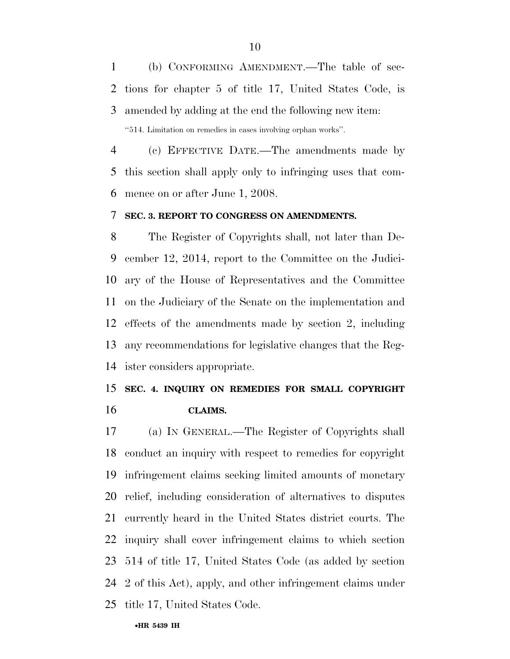(b) CONFORMING AMENDMENT.—The table of sec- tions for chapter 5 of title 17, United States Code, is amended by adding at the end the following new item: ''514. Limitation on remedies in cases involving orphan works''.

 (c) EFFECTIVE DATE.—The amendments made by this section shall apply only to infringing uses that com-mence on or after June 1, 2008.

#### **SEC. 3. REPORT TO CONGRESS ON AMENDMENTS.**

 The Register of Copyrights shall, not later than De- cember 12, 2014, report to the Committee on the Judici- ary of the House of Representatives and the Committee on the Judiciary of the Senate on the implementation and effects of the amendments made by section 2, including any recommendations for legislative changes that the Reg-ister considers appropriate.

## **SEC. 4. INQUIRY ON REMEDIES FOR SMALL COPYRIGHT CLAIMS.**

 (a) IN GENERAL.—The Register of Copyrights shall conduct an inquiry with respect to remedies for copyright infringement claims seeking limited amounts of monetary relief, including consideration of alternatives to disputes currently heard in the United States district courts. The inquiry shall cover infringement claims to which section 514 of title 17, United States Code (as added by section 2 of this Act), apply, and other infringement claims under title 17, United States Code.